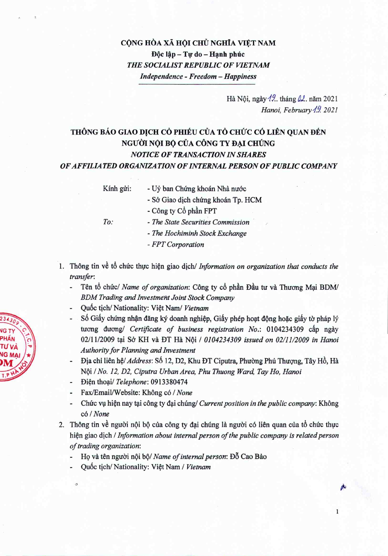## CỘNG HÒA XÃ HỘI CHỦ NGHĨA VIỆT NAM Độc lập - Tự do - Hạnh phúc *THE SOCIALIST REPUBLIC OF VIETNAM Independence - Freedom - Happiness*

Hà Nội, ngày <sup>19</sup>.. tháng  $\mu$ . năm 2021 *Hanoi, February* **19** 2021

 $\,$   $\,$ 

## THÔNG BÁO GIAO DỊCH CỎ PHIẾU CỦA TỔ CHỨC CÓ LIÊN QUAN ĐẾN NGƯỜI NỘI BỘ CỦA CÔNG TY ĐẠI CHÚNG *NOTICE OF TRANSACTION IN SHARES OF AFFILIATED ORGANIZATION OF INTERNAL PERSON OF PUBLIC COMPANY*

- Kính gửi: Uỷ ban Chứng khoán Nhà nước
	- *- Sa* Giao dich clnrng khoan Tp. HCM
- 
- Công ty Cổ phần FPT
- *To: - The State Securities Commission'*
	- *- The Hochiminh Stock Exchange*
	- *- FPT Corporation*
- 1. Thong tin ve t6 chirc thirc hien giao dich/ *Information on organization that conducts the transfer:*
	- Tên tổ chức/ Name of organization: Công ty cổ phần Đầu tư và Thương Mại BDM/ *BDM Trading and Investment Joint Stock Company*
	- Quốc tịch/ Nationality: Việt Nam/ Vietnam
	- Số Giấy chứng nhận đăng ký doanh nghiệp, Giấy phép hoạt động hoặc giấy tờ pháp lý tuong duong/ *Certificate of business registration No.*: 0104234309 câp ngày *02/1112009* tai S6 KH va DT Ha NQi *10104234309 issued on 0211112009in Hanoi Authority for Planning and Investment*
	- Địa chỉ liên hệ/ *Address*: Số 12, D2, Khu ĐT Ciputra, Phường Phú Thượng, Tây Hồ, Hà NQi *I No.* 12, *D2, Ciputra UrbanArea, Phu Thuong Ward, Tay Ho, Hanoi*
	- Di~n thoai/ *Telephone: 0913380474*
	- Fax/Email/Website: Không có / None
	- Chức vụ hiện nay tại công ty đại chúng/ *Current position in the public company*: Không *col None*
- 2. Thông tin về người nội bộ của công ty đại chúng là người có liên quan của tổ chức thực hi~n giao djch *I Information about internal person of the public company is related person of trading organization:*
	- Họ và tên người nội bộ/ Name of *internal person*: Đỗ Cao Bảo
	- Quốc tịch/ Nationality: Việt Nam / Vietnam